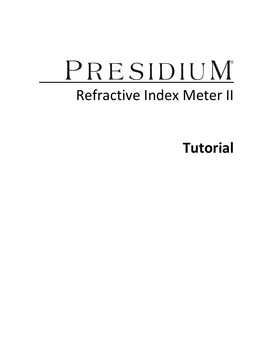# PRESIDIUM Refractive Index Meter II

Tutorial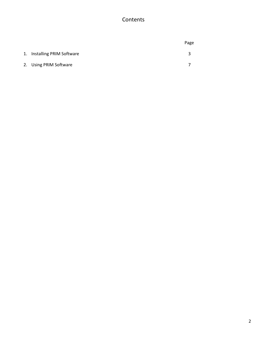## Contents

|                             | Page |
|-----------------------------|------|
| 1. Installing PRIM Software | ર    |
| 2. Using PRIM Software      |      |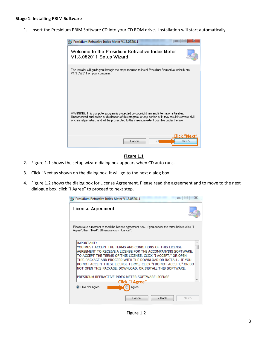#### Stage 1: Installing PRIM Software

1. Insert the Presidium PRIM Software CD into your CD ROM drive. Installation will start automatically.

| Presidium Refractive Index Meter V1.3.052011                                                                                                                                                                                                                                                          |
|-------------------------------------------------------------------------------------------------------------------------------------------------------------------------------------------------------------------------------------------------------------------------------------------------------|
| Welcome to the Presidium Refractive Index Meter<br>V1.3.052011 Setup Wizard                                                                                                                                                                                                                           |
| The installer will guide you through the steps required to install Presidium Refractive Index Meter<br>V1.3.052011 on your computer.                                                                                                                                                                  |
| WARNING: This computer program is protected by copyright law and international treaties.<br>Unauthorized duplication or distribution of this program, or any portion of it, may result in severe civil<br>or criminal penalties, and will be prosecuted to the maximum extent possible under the law. |
| Click "Next<br>Next<br>Cancel                                                                                                                                                                                                                                                                         |

#### Figure 1.1

- 2. Figure 1.1 shows the setup wizard dialog box appears when CD auto runs.
- 3. Click "Next as shown on the dialog box. It will go to the next dialog box
- 4. Figure 1.2 shows the dialog box for License Agreement. Please read the agreement and to move to the next dialogue box, click "I Agree" to proceed to next step.

| 53<br>Presidium Refractive Index Meter V1.3.052011                                                                                                                                                                                                                                                                                                                                                                   |  |
|----------------------------------------------------------------------------------------------------------------------------------------------------------------------------------------------------------------------------------------------------------------------------------------------------------------------------------------------------------------------------------------------------------------------|--|
| License Agreement                                                                                                                                                                                                                                                                                                                                                                                                    |  |
| Please take a moment to read the license agreement now. If you accept the terms below, click "I<br>Agree", then "Next". Otherwise click "Cancel".                                                                                                                                                                                                                                                                    |  |
| <b>IMPORTANT:</b><br>YOU MUST ACCEPT THE TERMS AND CONDITIONS OF THIS LICENSE<br>AGREEMENT TO RECEIVE A LICENSE FOR THE ACCOMPANYING SOFTWARE.<br>TO ACCEPT THE TERMS OF THIS LICENSE, CLICK "I ACCEPT," OR OPEN<br>THIS PACKAGE AND PROCEED WITH THE DOWNLOAD OR INSTALL. IF YOU<br>DO NOT ACCEPT THESE LICENSE TERMS, CLICK "I DO NOT ACCEPT," OR DO<br>NOT OPEN THIS PACKAGE, DOWNLOAD, OR INSTALL THIS SOFTWARE. |  |
| PRESIDIUM REFRACTIVE INDEX METER SOFTWARE LICENSE<br>Click "I Agree"<br>O I Do Not Agree<br>Agree                                                                                                                                                                                                                                                                                                                    |  |
| < Back<br>Cancel<br>Next >                                                                                                                                                                                                                                                                                                                                                                                           |  |

Figure 1.2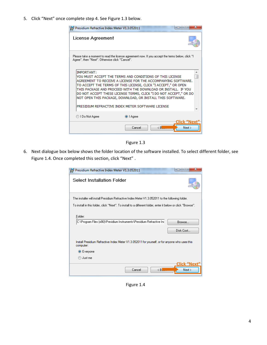5. Click "Next" once complete step 4. See Figure 1.3 below.

| Presidium Refractive Index Meter V1.3.052011                                                                                                                                                                                                                                                                                                                                                                         |           | ж                               |
|----------------------------------------------------------------------------------------------------------------------------------------------------------------------------------------------------------------------------------------------------------------------------------------------------------------------------------------------------------------------------------------------------------------------|-----------|---------------------------------|
| License Agreement                                                                                                                                                                                                                                                                                                                                                                                                    |           |                                 |
| Please take a moment to read the license agreement now. If you accept the terms below, click "I<br>Agree", then "Next". Otherwise click "Cancel".                                                                                                                                                                                                                                                                    |           |                                 |
| <b>IMPORTANT:</b><br>YOU MUST ACCEPT THE TERMS AND CONDITIONS OF THIS LICENSE<br>AGREEMENT TO RECEIVE A LICENSE FOR THE ACCOMPANYING SOFTWARE.<br>TO ACCEPT THE TERMS OF THIS LICENSE, CLICK "I ACCEPT," OR OPEN<br>THIS PACKAGE AND PROCEED WITH THE DOWNLOAD OR INSTALL. IF YOU<br>DO NOT ACCEPT THESE LICENSE TERMS, CLICK "I DO NOT ACCEPT," OR DO<br>NOT OPEN THIS PACKAGE, DOWNLOAD, OR INSTALL THIS SOFTWARE. |           |                                 |
| PRESIDIUM REFRACTIVE INDEX METER SOFTWARE LICENSE                                                                                                                                                                                                                                                                                                                                                                    |           |                                 |
| ◯ I Do Not Agree                                                                                                                                                                                                                                                                                                                                                                                                     | O I Agree |                                 |
|                                                                                                                                                                                                                                                                                                                                                                                                                      | Cancel    | Click "Next<br>$\leq$ B<br>Next |

Figure 1.3

6. Next dialogue box below shows the folder location of the software installed. To select different folder, see Figure 1.4. Once completed this section, click "Next".

| Presidium Refractive Index Meter V1.3.052011<br>覆                                                            |
|--------------------------------------------------------------------------------------------------------------|
| Select Installation Folder                                                                                   |
| The installer will install Presidium Refractive Index Meter V1.3.052011 to the following folder.             |
| To install in this folder, click "Next". To install to a different folder, enter it below or click "Browse". |
| Folder:<br>C:\Program Files (x86)\Presidium Instruments\Presidium Refractive Ind<br>Browse<br>Disk Cost      |
| Install Presidium Refractive Index Meter V1.3.052011 for yourself, or for anyone who uses this<br>computer:  |
| ◎ Everyone                                                                                                   |
| Just me                                                                                                      |
| <u> Click "Next</u><br>$\langle B $<br>Next ><br>Cancel                                                      |

Figure 1.4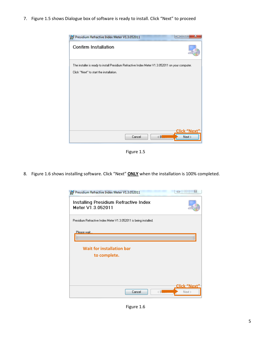7. Figure 1.5 shows Dialogue box of software is ready to install. Click "Next" to proceed



Figure 1.5

8. Figure 1.6 shows installing software. Click "Next" **ONLY** when the installation is 100% completed.



Figure 1.6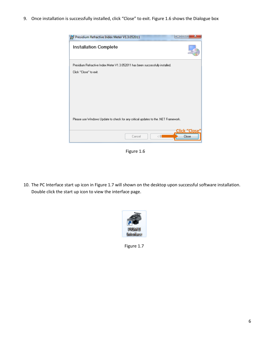9. Once installation is successfully installed, click "Close" to exit. Figure 1.6 shows the Dialogue box

| Presidium Refractive Index Meter V1.3.052011                                                            |  |
|---------------------------------------------------------------------------------------------------------|--|
| <b>Installation Complete</b>                                                                            |  |
| Presidium Refractive Index Meter V1.3.052011 has been successfully installed.<br>Click "Close" to exit. |  |
|                                                                                                         |  |
|                                                                                                         |  |
|                                                                                                         |  |
| Please use Windows Update to check for any critical updates to the .NET Framework.                      |  |
| <u> Click "Clo</u> se'<br>$\langle B$<br>Close<br>Cancel                                                |  |

Figure 1.6

10. The PC Interface start up icon in Figure 1.7 will shown on the desktop upon successful software installation. Double click the start up icon to view the interface page.



Figure 1.7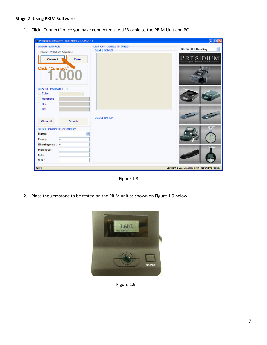### Stage 2: Using PRIM Software

1. Click "Connect" once you have connected the USB cable to the PRIM Unit and PC.

| Presidium Refractive Index Meter v1.3.052011 |                                              | 口向冈                                                  |
|----------------------------------------------|----------------------------------------------|------------------------------------------------------|
| -USB INTERFACE<br>Status: PRIM-V2 Attached   | -LIST OF POSIBLE STONES<br><b>GEM STONES</b> | Go To: R.I. Reading<br>$\checkmark$                  |
| Enter<br><b>Connect</b>                      |                                              | PRESIDIUM                                            |
| <b>Click "Connect"</b>                       |                                              |                                                      |
| <b>SEARCH PARAMETER</b>                      |                                              |                                                      |
| Color                                        |                                              |                                                      |
| <b>Hardness</b>                              |                                              |                                                      |
| R.L                                          |                                              |                                                      |
| $\Box$ S.G.                                  |                                              |                                                      |
| Search<br><b>Clear all</b>                   | <b>DESCRIPTION</b>                           |                                                      |
| STONE PROPERTY DISPLAY                       |                                              |                                                      |
| Name:<br>ü                                   |                                              |                                                      |
| Family:                                      |                                              |                                                      |
| <b>Birefringence:</b>                        |                                              |                                                      |
| Hardness:                                    |                                              |                                                      |
| $RL$ :                                       |                                              |                                                      |
| S.G.                                         |                                              | <b>PRACKATIN</b>                                     |
| #1,070                                       |                                              | Copyright @ 2011-2012 Presidium Instruments Pte Ltd. |

Figure 1.8

2. Place the gemstone to be tested on the PRIM unit as shown on Figure 1.9 below.



Figure 1.9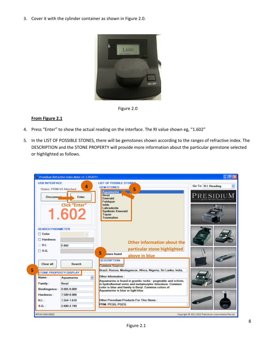3. Cover it with the cylinder container as shown in Figure 2.0.





#### From Figure 2.1

- 4. Press "Enter" to show the actual reading on the interface. The RI value shown eg, "1.602"
- 5. In the LIST OF POSSIBLE STONES, there will be gemstones shown according to the ranges of refractive index. The DESCRIPTION and the STONE PROPERTY will provide more information about the particular gemstone selected or highlighted as follows.

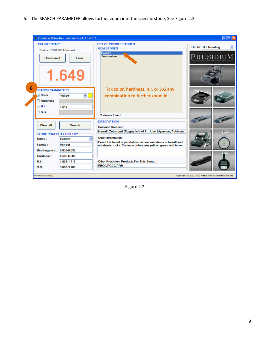6. The SEARCH PARAMETER allows further zoom into the specific stone, See Figure 2.2



Figure 2.2